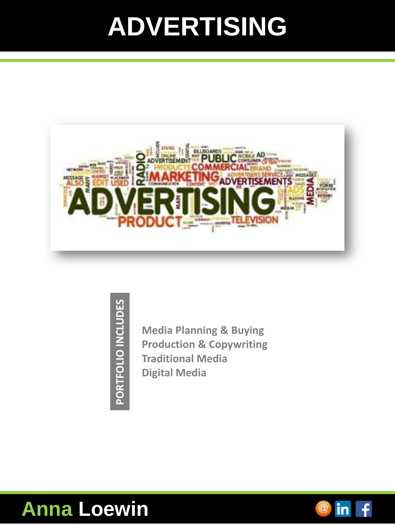## **ADVERTISING**



PORTFOLIO INCLUDES **PORTFOLIO INCLUDES**

**Media Planning & Buying Production & Copywriting Traditional Media Digital Media**



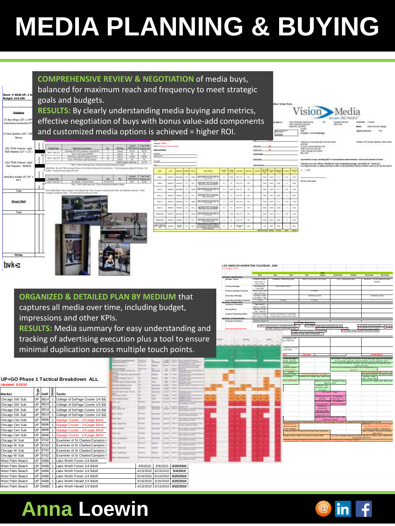# **MEDIA PLANNING & BUYING**



#### **ORGANIZED & DETAILED PLAN BY MEDIUM** that

captures all media over time, including budget, impressions and other KPIs.

**RESULTS:** Media summary for easy under tracking of advertising execution plus a t minimal duplication across multiple touc

|                         |            |            |       | UP+GO Phase 1 Tactical Breakdown ALL |  |                        |           |           |
|-------------------------|------------|------------|-------|--------------------------------------|--|------------------------|-----------|-----------|
| <b>Updated: 3/15/10</b> |            |            |       |                                      |  |                        |           |           |
|                         |            |            |       |                                      |  |                        |           |           |
| Market                  | Type       | <b>SAP</b> | Jnits | Tactic                               |  |                        |           |           |
|                         |            |            |       |                                      |  |                        |           |           |
| Chicago SW Sub          | UP         | 9814       |       | College of DuPage Courier 1/4 B&     |  |                        |           |           |
| Chicago SW Sub          | UP         | 9814       |       | College of DuPage Courier 1/4 B&'    |  |                        |           |           |
| Chicago SW Sub          | UP         | 9814       |       | College of DuPage Courier 1/4 B&     |  |                        |           |           |
| Chicago SW Sub          | UP         | 9814       |       | College of DuPage Courier 1/4 B&     |  |                        |           |           |
| Chicago Cen Sub         | UP         | 9898       |       | Dupage Courier - 1/4 page B&W        |  |                        |           |           |
| Chicago Cen Sub         | UP         | 9898       |       | Dupage Courier - 1/4 page B&W        |  |                        |           |           |
| Chicago Cen Sub         | UP         | 9898       |       | Dupage Courier - 1/4 page B&W        |  |                        |           |           |
| Chicago Cen Sub         | UP         | 9898       |       | Dupage Courier - 1/4 page B&W        |  |                        |           |           |
| Chicago W Sub           | UP         | 9742       |       | Examiner of St Charles/Campton I     |  |                        |           |           |
| Chicago W Sub           | UP         | 9742       |       | Examiner of St Charles/Campton I     |  |                        |           |           |
| Chicago W Sub           | UP         | 9742       |       | Examiner of St Charles/Campton I     |  |                        |           |           |
| Chicago W Sub           | UP         | 9742       |       | Examiner of St Charles/Campton I     |  |                        |           |           |
| West Palm Beach         | UP         | 9488       | 1     | Lake Worth Forum 1/4 B&W             |  |                        |           |           |
| West Palm Beach         | UP         | 9488       |       | Lake Worth Forum 1/4 B&W             |  | 4/9/2010               | 4/9/2010  | 4/20/2010 |
| West Palm Beach         | UP         | 9488       |       | Lake Worth Forum 1/4 B&W             |  | 4/23/2010              | 4/23/2010 | 5/4/2010  |
| West Palm Beach         | UP         | 9488       |       | Lake Worth Forum 1/4 B&W             |  | 5/14/2010              | 5/14/2010 | 5/25/2010 |
| West Palm Beach         | UP         | 9488       |       | Lake Worth Herald 1/4 B&W            |  | 3/16/2010<br>3/16/2010 |           | 3/25/2010 |
| West Palm Reach         | <b>IID</b> | 0.488      |       | aka Worth Harald 1/4 R&W             |  | A/13/2010              | A/12/2010 | 010212010 |

|                                                                                                                                                                                                                                                                          | <b>Customer Marketing Offers</b> | Customer Delight<br>NBA Ticket to View | Summer of Memories: Fun Bundles,<br>Goode Bags (customer base only) |                                                                                                     |                                                                                                                                                       |                                                                       |                                                                              |                                                                            |                                                 |
|--------------------------------------------------------------------------------------------------------------------------------------------------------------------------------------------------------------------------------------------------------------------------|----------------------------------|----------------------------------------|---------------------------------------------------------------------|-----------------------------------------------------------------------------------------------------|-------------------------------------------------------------------------------------------------------------------------------------------------------|-----------------------------------------------------------------------|------------------------------------------------------------------------------|----------------------------------------------------------------------------|-------------------------------------------------|
|                                                                                                                                                                                                                                                                          | NATIONAL SPONSORSHIPS            |                                        |                                                                     |                                                                                                     |                                                                                                                                                       |                                                                       |                                                                              |                                                                            |                                                 |
|                                                                                                                                                                                                                                                                          | <b>Property Promotions</b>       | Grammy Concert                         |                                                                     | O EVENT: Mariachi USA                                                                               |                                                                                                                                                       |                                                                       |                                                                              |                                                                            |                                                 |
|                                                                                                                                                                                                                                                                          |                                  |                                        | F EVENT: Grammy Concert Tour - Los Angeles Concert (4/8)            |                                                                                                     | TEO EVENT: Orange County Fair (Saturdays only, 7/10-                                                                                                  |                                                                       |                                                                              | TEO EVENT: Festival de La Gente                                            | $\blacktriangleright$ TBD $\blacktriangleright$ |
| lerstanding and                                                                                                                                                                                                                                                          | <b>Guerilla Marketing Events</b> |                                        | P EVENT: CONCACAF Flesta Broadway (426)                             |                                                                                                     |                                                                                                                                                       | TBD EVENT: International Surf Festival (8/1-8/2)                      |                                                                              | <b>DIVENT: Dis de Los Muertos</b>                                          | <b>K more</b>                                   |
|                                                                                                                                                                                                                                                                          |                                  |                                        |                                                                     | > EVENT: Grammy Private Playfet - Los Angeles (TEC)<br>P EVENT: Six Flags - Walk in the Park (6/20) |                                                                                                                                                       |                                                                       | TEO EVENT: Grand Ave. Festival - Downtown LA (9/26)                          |                                                                            |                                                 |
|                                                                                                                                                                                                                                                                          |                                  |                                        |                                                                     |                                                                                                     |                                                                                                                                                       |                                                                       |                                                                              |                                                                            |                                                 |
| tool to ensure                                                                                                                                                                                                                                                           |                                  |                                        | les Sapphine, HTC<br>ung T469/T549                                  |                                                                                                     |                                                                                                                                                       |                                                                       |                                                                              |                                                                            |                                                 |
|                                                                                                                                                                                                                                                                          |                                  |                                        |                                                                     |                                                                                                     |                                                                                                                                                       |                                                                       |                                                                              |                                                                            |                                                 |
|                                                                                                                                                                                                                                                                          |                                  |                                        | o: Sidekick SD Card                                                 |                                                                                                     |                                                                                                                                                       |                                                                       |                                                                              |                                                                            |                                                 |
| uch points.                                                                                                                                                                                                                                                              |                                  |                                        | r Shell (TBD)                                                       |                                                                                                     |                                                                                                                                                       |                                                                       |                                                                              |                                                                            |                                                 |
|                                                                                                                                                                                                                                                                          |                                  |                                        | ekick                                                               | Cybershot                                                                                           | G2                                                                                                                                                    |                                                                       |                                                                              | <b>3G Blackberr</b>                                                        |                                                 |
|                                                                                                                                                                                                                                                                          |                                  |                                        |                                                                     |                                                                                                     |                                                                                                                                                       |                                                                       |                                                                              |                                                                            |                                                 |
| --                                                                                                                                                                                                                                                                       |                                  |                                        | 3 Value Messages<br>proved), rotational                             |                                                                                                     |                                                                                                                                                       | PH 2 VALUE - COVERAGE OUTDOOR: 3 Value Messages (cotion to extendicho | once messages approved), rotational bulletins, posters (Spanish), transit    |                                                                            |                                                 |
| The commercial contract of the series<br>$\frac{1}{2}$<br>$-0.00000$                                                                                                                                                                                                     |                                  |                                        | dut promoting value                                                 |                                                                                                     |                                                                                                                                                       |                                                                       | PH 2 VALUE-COVERAGE SEARCH: adv. promoting value message from paid           |                                                                            |                                                 |
| $\sim$<br>and the company of the company of                                                                                                                                                                                                                              |                                  |                                        | LTA only)<br><b>LSHRINK ONLINE</b>                                  |                                                                                                     |                                                                                                                                                       |                                                                       | search (LTA only)<br>PH 2 VALUE-COVERAGE ONLINE: Value msg benners on        |                                                                            |                                                 |
| ×<br>$\sim$<br>--<br>$\rightarrow$<br>-                                                                                                                                                                                                                                  |                                  |                                        | ra on oac-sites                                                     |                                                                                                     |                                                                                                                                                       |                                                                       | glo-sites                                                                    |                                                                            |                                                 |
| $-$<br><b>TELEVISION</b>                                                                                                                                                                                                                                                 |                                  |                                        | VALLE-<br>rol damo's in TMO-                                        |                                                                                                     | VALUE DAY EVENTS: Six Flags                                                                                                                           |                                                                       |                                                                              | PH 2 MALL EVENTS: Gilt Card w/ Value                                       | <b>RECT MAL: ad</b>                             |
| m                                                                                                                                                                                                                                                                        |                                  |                                        | ink Exposure                                                        |                                                                                                     | Customer VIP: Delight "park: divert chum                                                                                                              |                                                                       |                                                                              | <b>MOVIES: Value</b>                                                       |                                                 |
|                                                                                                                                                                                                                                                                          |                                  |                                        | tag w/ retail listings                                              |                                                                                                     | Maintain Value SOM - integrate G2 into                                                                                                                |                                                                       |                                                                              | Mag + Device TBD<br>Customer VIP: Delight "park; divert chum               |                                                 |
| -<br>--<br>-                                                                                                                                                                                                                                                             |                                  |                                        |                                                                     |                                                                                                     | <b>Billshrink Demo</b>                                                                                                                                |                                                                       |                                                                              |                                                                            |                                                 |
| <b>DOM</b><br>                                                                                                                                                                                                                                                           |                                  |                                        |                                                                     |                                                                                                     | University Value<br>Blackbary Offer                                                                                                                   |                                                                       |                                                                              |                                                                            |                                                 |
|                                                                                                                                                                                                                                                                          |                                  |                                        |                                                                     |                                                                                                     | <b>B2 School</b>                                                                                                                                      |                                                                       |                                                                              |                                                                            |                                                 |
| <b>BOM</b><br>$\sim$<br><b><i><u>PERSONAL CONTRACTORY CONTRACTORY CONTRACTORY CONTRACTORY CONTRACTORY CONTRACTORY CONTRACTORY CONTRACTORY CONTRACTORY CONTRACTORY CONTRACTORY CONTRACTORY CONTRACTORY CONTRACTORY CONTRACTORY CONTRACTORY CONTRACTORY CONTRA</u></i></b> |                                  |                                        |                                                                     |                                                                                                     | G2 Launch - Touch                                                                                                                                     |                                                                       |                                                                              |                                                                            |                                                 |
| <b>SCALE</b><br>--<br><b>Broad</b>                                                                                                                                                                                                                                       |                                  |                                        |                                                                     |                                                                                                     | PR Outmach: G2                                                                                                                                        | G2 Replaces                                                           |                                                                              |                                                                            |                                                 |
| <b><i><u>PARTICULAR</u></i></b>                                                                                                                                                                                                                                          |                                  |                                        |                                                                     |                                                                                                     | Ressing<br>32 Pre-Sale w/TM                                                                                                                           | Phone (2yr) - ATT<br>G2 Interactive                                   |                                                                              |                                                                            |                                                 |
|                                                                                                                                                                                                                                                                          |                                  |                                        |                                                                     |                                                                                                     | retail promotions.                                                                                                                                    | Sessions @ selec                                                      |                                                                              |                                                                            |                                                 |
| <b>State College</b>                                                                                                                                                                                                                                                     |                                  |                                        |                                                                     |                                                                                                     | <b>B2B/Disney</b><br>Promotion w/                                                                                                                     |                                                                       |                                                                              |                                                                            |                                                 |
|                                                                                                                                                                                                                                                                          |                                  |                                        |                                                                     |                                                                                                     | Special G2 Offer                                                                                                                                      |                                                                       |                                                                              |                                                                            |                                                 |
|                                                                                                                                                                                                                                                                          |                                  |                                        |                                                                     |                                                                                                     | <b>B2B WebConnect</b><br>Laptop Stick LTO                                                                                                             |                                                                       |                                                                              |                                                                            |                                                 |
|                                                                                                                                                                                                                                                                          |                                  |                                        |                                                                     |                                                                                                     | Sidekick Back to School In Style: Offer                                                                                                               |                                                                       |                                                                              |                                                                            |                                                 |
|                                                                                                                                                                                                                                                                          |                                  |                                        |                                                                     |                                                                                                     | & Influencer Program<br>ement Announcements to customer base (targeted) w/ value message; incorporate any upgrade/customer delight promotions as well |                                                                       |                                                                              |                                                                            |                                                 |
|                                                                                                                                                                                                                                                                          |                                  |                                        |                                                                     |                                                                                                     |                                                                                                                                                       |                                                                       |                                                                              | DOORTAGS we could come up wuni                                             |                                                 |
|                                                                                                                                                                                                                                                                          |                                  |                                        | inhanced coverage<br>As with coverage                               |                                                                                                     |                                                                                                                                                       |                                                                       |                                                                              | nontradisonal delivery for holidays?):<br>Enhanced coverage + Value Msg in |                                                 |
|                                                                                                                                                                                                                                                                          |                                  |                                        |                                                                     | MALL EVENTS: Tie new PCC tool into Value Tool demo's                                                |                                                                                                                                                       |                                                                       |                                                                              | MALL EVENTS: Tie new PCC tool into                                         |                                                 |
|                                                                                                                                                                                                                                                                          |                                  |                                        |                                                                     | Coverage: Mexico Calling LTO during AG season (TBD)                                                 |                                                                                                                                                       |                                                                       | BD. INTL Coverage: Roaming and Calling Special LTO (TBD), Asian, Middle East | value demo's                                                               |                                                 |
| <b>Horney</b>                                                                                                                                                                                                                                                            |                                  |                                        |                                                                     |                                                                                                     |                                                                                                                                                       |                                                                       | and Maxican rates focus                                                      |                                                                            |                                                 |
| -----                                                                                                                                                                                                                                                                    |                                  |                                        |                                                                     |                                                                                                     |                                                                                                                                                       |                                                                       |                                                                              |                                                                            |                                                 |
| ۰<br><b>Bill Alle</b>                                                                                                                                                                                                                                                    |                                  |                                        |                                                                     |                                                                                                     |                                                                                                                                                       |                                                                       |                                                                              |                                                                            |                                                 |
| -----                                                                                                                                                                                                                                                                    |                                  |                                        |                                                                     |                                                                                                     |                                                                                                                                                       |                                                                       |                                                                              |                                                                            |                                                 |
|                                                                                                                                                                                                                                                                          |                                  |                                        |                                                                     |                                                                                                     |                                                                                                                                                       |                                                                       |                                                                              |                                                                            |                                                 |
| 44.44<br>i.<br>--                                                                                                                                                                                                                                                        |                                  |                                        |                                                                     |                                                                                                     |                                                                                                                                                       |                                                                       |                                                                              |                                                                            |                                                 |
| <b>HOM</b><br>DRIVING TO ALCOHOL                                                                                                                                                                                                                                         |                                  |                                        |                                                                     |                                                                                                     |                                                                                                                                                       |                                                                       |                                                                              |                                                                            |                                                 |
|                                                                                                                                                                                                                                                                          |                                  |                                        |                                                                     |                                                                                                     |                                                                                                                                                       |                                                                       |                                                                              |                                                                            |                                                 |
| المتمعد معددا متممزمن                                                                                                                                                                                                                                                    |                                  |                                        |                                                                     |                                                                                                     |                                                                                                                                                       |                                                                       |                                                                              |                                                                            |                                                 |

**Primary Handsets Featured Secondary Message Secondary Handsets Featured NATIONAL PROMOTIONS Consumer Promotion Pricing Plans Customer Marketing Offers**

Customer Delight NBA Ticket to View Unlimited Loyalty<br>Plan - National<br>Customer Delight

BB Flip, BB Curve<br>8900, BB Pearl myFaves w/ BB<br>Curve 8900 + NBA<br>G1 (b)

G1 (tv) NBA Shot of<br>Lifetime; Together<br>Unlimited Lovalty

## in

G-Series Unleashing Value

G-Series G-Series

Unleashing Value

► TBD EVENT: Festival de La Gente | En TBD EV<br>► TBD EVENT: Dia de Los Muertos TBD EVENT:

## **Anna Loewin**

West Palm Beach UP 9488 1 Lake Worth Herald 1/4 B&W 4/27/2010 4/27/2010 **5/6/2010**

Chicago NW Sub UP 9708 1 Mt Prospect/Des Plaines Times 1/4 B&W 3/15/2010 3/15/2010 **3/24/2010**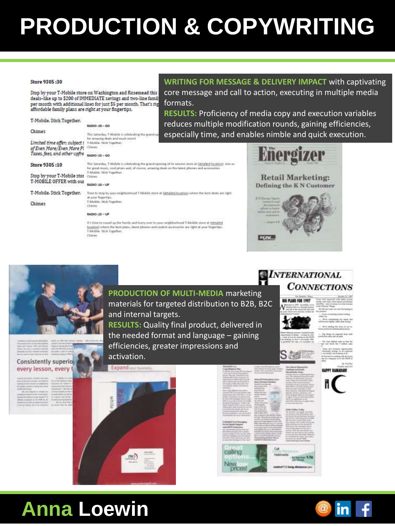## PRODUCTION & COPYWRITING

#### Store 9305:30

Stop by your T-Mobile store on Washington and Rosemead this deals-like up to \$200 of IMMEDIATE savings and two-line famil per month with additional lines for just \$5 per month. That's rig affordable family plans are right at your fingertips.

BADIO : 30 - GO

**WRITING FOR MESSAGE & DELIVERY IMPACT with captivating** core message and call to action, executing in multiple media formats.

**RESULTS:** Proficiency of media copy and execution variables reduces multiple modification rounds, gaining efficiencies, especially time, and enables nimble and quick execution.

| Limited time offer; subject i |  |
|-------------------------------|--|
| of Even More/Even More Pl     |  |
| Taxes, fees, and other upfra  |  |
|                               |  |

T-Mobile. Stick Together.

Store 9305:10

Stop by your T-Mobile stor Chines T-MOBILE OFFER with our

T-Mobile. Stick Together.

Chimes

Chimes

#### Chines RADIO :15 - CO

T-Mobile, Stick Topether.

This Saturday, T-Mobile is celebrating the grand op sh and much more!

This Saturday, T-Mobile is celebrating the granul opening of its newest store at (detailed location), into an ic, cool prizes and, of course, arrazing deals on the latest phones and a T-Mobile, Stick Together.

#### **RADIO :30-UP**

Olivies

Time to stop by your neight or hood T-Middle store at interalled location) where the best deals are right. at uniar financitic T-Mobile. Stick Together

#### RADIO :15 - UP

It's time to round up the family and hurry over to your anighborhood T-Mobile store at idetailed ippatize) where the best plans, latest phones and coolest accessories are right at your fingertial T-Mobile, Stuk Together. **Chines** 





#### Consistently superio every lesson, every

**PRODUCTION OF MULTI-MEDIA marketing** materials for targeted distribution to B2B, B2C and internal targets.

**RESULTS: Quality final product, delivered in** the needed format and language - gaining efficiencies, greater impressions and activation.



# calling

#### INTERNATIONAL **CONNECTIONS**



ide is het be





to less tray 1.7g



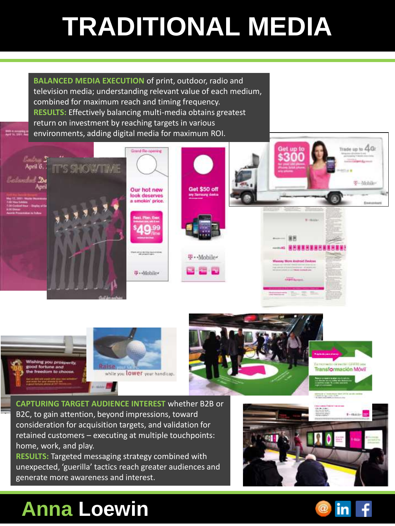# **TRADITIONAL MEDIA**

**BALANCED MEDIA EXECUTION** of print, outdoor, radio and television media; understanding relevant value of each medium, combined for maximum reach and timing frequency. **RESULTS:** Effectively balancing multi-media obtains greatest return on investment by reaching targets in various environments, adding digital media for maximum ROI.

**Shake on any property of**<br>Apple the Children Ave





**CAPTURING TARGET AUDIENCE INTEREST** whether B2B or B2C, to gain attention, beyond impressions, toward consideration for acquisition targets, and validation for retained customers – executing at multiple touchpoints: home, work, and play.

**RESULTS:** Targeted messaging strategy combined with unexpected, 'guerilla' tactics reach greater audiences and generate more awareness and interest.



## **Anna Loewin**